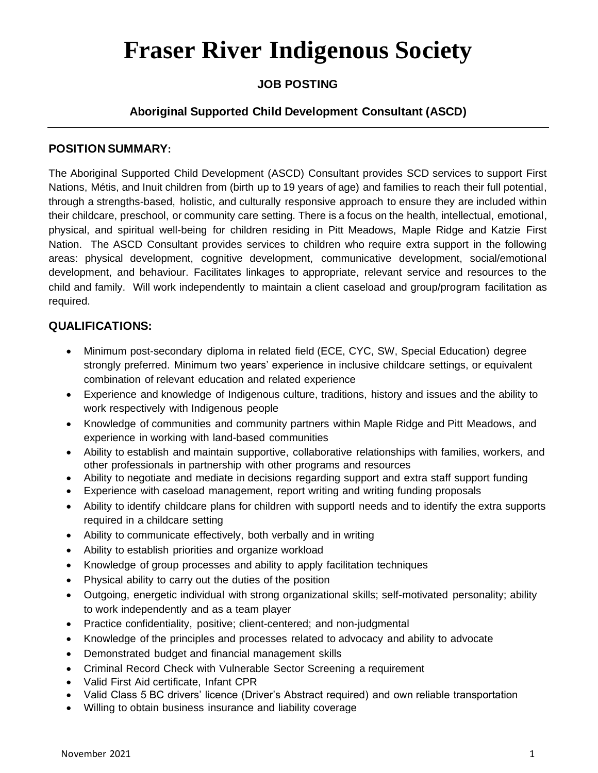## **Fraser River Indigenous Society**

### **JOB POSTING**

#### **Aboriginal Supported Child Development Consultant (ASCD)**

#### **POSITION SUMMARY:**

The Aboriginal Supported Child Development (ASCD) Consultant provides SCD services to support First Nations, Métis, and Inuit children from (birth up to 19 years of age) and families to reach their full potential, through a strengths-based, holistic, and culturally responsive approach to ensure they are included within their childcare, preschool, or community care setting. There is a focus on the health, intellectual, emotional, physical, and spiritual well-being for children residing in Pitt Meadows, Maple Ridge and Katzie First Nation. The ASCD Consultant provides services to children who require extra support in the following areas: physical development, cognitive development, communicative development, social/emotional development, and behaviour. Facilitates linkages to appropriate, relevant service and resources to the child and family. Will work independently to maintain a client caseload and group/program facilitation as required.

#### **QUALIFICATIONS:**

- Minimum post-secondary diploma in related field (ECE, CYC, SW, Special Education) degree strongly preferred. Minimum two years' experience in inclusive childcare settings, or equivalent combination of relevant education and related experience
- Experience and knowledge of Indigenous culture, traditions, history and issues and the ability to work respectively with Indigenous people
- Knowledge of communities and community partners within Maple Ridge and Pitt Meadows, and experience in working with land-based communities
- Ability to establish and maintain supportive, collaborative relationships with families, workers, and other professionals in partnership with other programs and resources
- Ability to negotiate and mediate in decisions regarding support and extra staff support funding
- Experience with caseload management, report writing and writing funding proposals
- Ability to identify childcare plans for children with supportl needs and to identify the extra supports required in a childcare setting
- Ability to communicate effectively, both verbally and in writing
- Ability to establish priorities and organize workload
- Knowledge of group processes and ability to apply facilitation techniques
- Physical ability to carry out the duties of the position
- Outgoing, energetic individual with strong organizational skills; self-motivated personality; ability to work independently and as a team player
- Practice confidentiality, positive; client-centered; and non-judgmental
- Knowledge of the principles and processes related to advocacy and ability to advocate
- Demonstrated budget and financial management skills
- Criminal Record Check with Vulnerable Sector Screening a requirement
- Valid First Aid certificate, Infant CPR
- Valid Class 5 BC drivers' licence (Driver's Abstract required) and own reliable transportation
- Willing to obtain business insurance and liability coverage